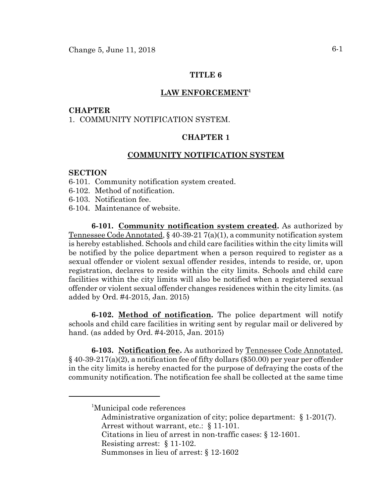## **TITLE 6**

#### **LAW ENFORCEMENT1**

#### **CHAPTER**

## 1. COMMUNITY NOTIFICATION SYSTEM.

# **CHAPTER 1**

## **COMMUNITY NOTIFICATION SYSTEM**

#### **SECTION**

- 6-101. Community notification system created.
- 6-102. Method of notification.
- 6-103. Notification fee.
- 6-104. Maintenance of website.

**6-101. Community notification system created.** As authorized by Tennessee Code Annotated, § 40-39-21 7(a)(1), a community notification system is hereby established. Schools and child care facilities within the city limits will be notified by the police department when a person required to register as a sexual offender or violent sexual offender resides, intends to reside, or, upon registration, declares to reside within the city limits. Schools and child care facilities within the city limits will also be notified when a registered sexual offender or violent sexual offender changes residences within the city limits. (as added by Ord. #4-2015, Jan. 2015)

**6-102. Method of notification.** The police department will notify schools and child care facilities in writing sent by regular mail or delivered by hand. (as added by Ord. #4-2015, Jan. 2015)

**6-103. Notification fee.** As authorized by Tennessee Code Annotated,  $\S 40-39-217(a)(2)$ , a notification fee of fifty dollars (\$50.00) per year per offender in the city limits is hereby enacted for the purpose of defraying the costs of the community notification. The notification fee shall be collected at the same time

- Administrative organization of city; police department: § 1-201(7). Arrest without warrant, etc.: § 11-101.
- Citations in lieu of arrest in non-traffic cases: § 12-1601.

<sup>&</sup>lt;sup>1</sup>Municipal code references

Resisting arrest: § 11-102.

Summonses in lieu of arrest: § 12-1602